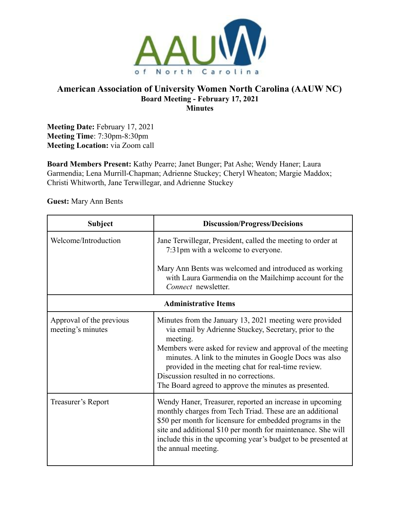

# **American Association of University Women North Carolina (AAUW NC) Board Meeting - February 17, 2021 Minutes**

**Meeting Date:** February 17, 2021 **Meeting Time**: 7:30pm-8:30pm **Meeting Location:** via Zoom call

**Board Members Present:** Kathy Pearre; Janet Bunger; Pat Ashe; Wendy Haner; Laura Garmendia; Lena Murrill-Chapman; Adrienne Stuckey; Cheryl Wheaton; Margie Maddox; Christi Whitworth, Jane Terwillegar, and Adrienne Stuckey

**Guest:** Mary Ann Bents

| <b>Subject</b>                                | <b>Discussion/Progress/Decisions</b>                                                                                                                                                                                                                                                                                                                                                                          |  |
|-----------------------------------------------|---------------------------------------------------------------------------------------------------------------------------------------------------------------------------------------------------------------------------------------------------------------------------------------------------------------------------------------------------------------------------------------------------------------|--|
| Welcome/Introduction                          | Jane Terwillegar, President, called the meeting to order at<br>7:31pm with a welcome to everyone.                                                                                                                                                                                                                                                                                                             |  |
|                                               | Mary Ann Bents was welcomed and introduced as working<br>with Laura Garmendia on the Mailchimp account for the<br>Connect newsletter.                                                                                                                                                                                                                                                                         |  |
| <b>Administrative Items</b>                   |                                                                                                                                                                                                                                                                                                                                                                                                               |  |
| Approval of the previous<br>meeting's minutes | Minutes from the January 13, 2021 meeting were provided<br>via email by Adrienne Stuckey, Secretary, prior to the<br>meeting.<br>Members were asked for review and approval of the meeting<br>minutes. A link to the minutes in Google Docs was also<br>provided in the meeting chat for real-time review.<br>Discussion resulted in no corrections.<br>The Board agreed to approve the minutes as presented. |  |
| Treasurer's Report                            | Wendy Haner, Treasurer, reported an increase in upcoming<br>monthly charges from Tech Triad. These are an additional<br>\$50 per month for licensure for embedded programs in the<br>site and additional \$10 per month for maintenance. She will<br>include this in the upcoming year's budget to be presented at<br>the annual meeting.                                                                     |  |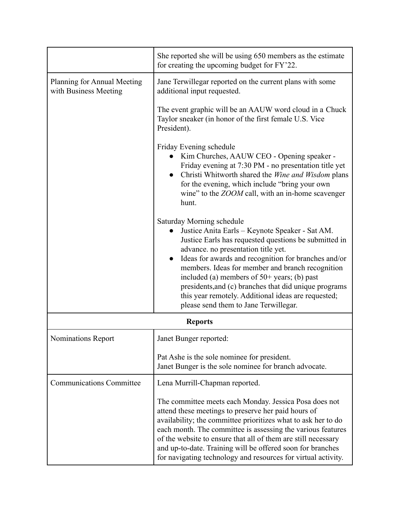|                                                      | She reported she will be using 650 members as the estimate<br>for creating the upcoming budget for FY'22.                                                                                                                                                                                                                                                                                                                                                                                          |
|------------------------------------------------------|----------------------------------------------------------------------------------------------------------------------------------------------------------------------------------------------------------------------------------------------------------------------------------------------------------------------------------------------------------------------------------------------------------------------------------------------------------------------------------------------------|
| Planning for Annual Meeting<br>with Business Meeting | Jane Terwillegar reported on the current plans with some<br>additional input requested.                                                                                                                                                                                                                                                                                                                                                                                                            |
|                                                      | The event graphic will be an AAUW word cloud in a Chuck<br>Taylor sneaker (in honor of the first female U.S. Vice<br>President).                                                                                                                                                                                                                                                                                                                                                                   |
|                                                      | Friday Evening schedule<br>Kim Churches, AAUW CEO - Opening speaker -<br>Friday evening at 7:30 PM - no presentation title yet<br>Christi Whitworth shared the Wine and Wisdom plans<br>$\bullet$<br>for the evening, which include "bring your own<br>wine" to the <i>ZOOM</i> call, with an in-home scavenger<br>hunt.                                                                                                                                                                           |
|                                                      | Saturday Morning schedule<br>Justice Anita Earls - Keynote Speaker - Sat AM.<br>Justice Earls has requested questions be submitted in<br>advance. no presentation title yet.<br>Ideas for awards and recognition for branches and/or<br>members. Ideas for member and branch recognition<br>included (a) members of $50+$ years; (b) past<br>presidents, and (c) branches that did unique programs<br>this year remotely. Additional ideas are requested;<br>please send them to Jane Terwillegar. |
| <b>Reports</b>                                       |                                                                                                                                                                                                                                                                                                                                                                                                                                                                                                    |
| Nominations Report                                   | Janet Bunger reported:                                                                                                                                                                                                                                                                                                                                                                                                                                                                             |
|                                                      | Pat Ashe is the sole nominee for president.<br>Janet Bunger is the sole nominee for branch advocate.                                                                                                                                                                                                                                                                                                                                                                                               |
| <b>Communications Committee</b>                      | Lena Murrill-Chapman reported.                                                                                                                                                                                                                                                                                                                                                                                                                                                                     |
|                                                      | The committee meets each Monday. Jessica Posa does not<br>attend these meetings to preserve her paid hours of<br>availability; the committee prioritizes what to ask her to do<br>each month. The committee is assessing the various features<br>of the website to ensure that all of them are still necessary<br>and up-to-date. Training will be offered soon for branches<br>for navigating technology and resources for virtual activity.                                                      |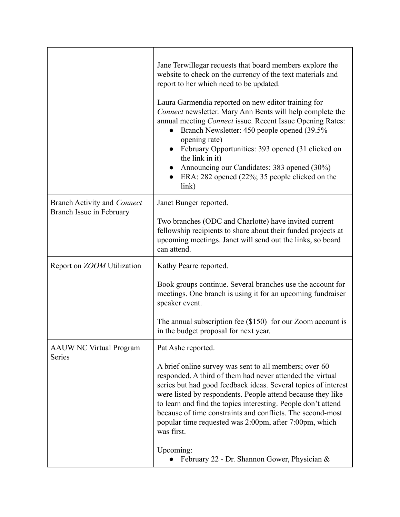|                                                                | Jane Terwillegar requests that board members explore the<br>website to check on the currency of the text materials and<br>report to her which need to be updated.<br>Laura Garmendia reported on new editor training for<br>Connect newsletter. Mary Ann Bents will help complete the<br>annual meeting Connect issue. Recent Issue Opening Rates:<br>Branch Newsletter: 450 people opened (39.5%)<br>$\bullet$<br>opening rate)<br>February Opportunities: 393 opened (31 clicked on<br>the link in it)<br>Announcing our Candidates: 383 opened (30%)<br>ERA: 282 opened (22%; 35 people clicked on the<br>link) |
|----------------------------------------------------------------|--------------------------------------------------------------------------------------------------------------------------------------------------------------------------------------------------------------------------------------------------------------------------------------------------------------------------------------------------------------------------------------------------------------------------------------------------------------------------------------------------------------------------------------------------------------------------------------------------------------------|
| <b>Branch Activity and Connect</b><br>Branch Issue in February | Janet Bunger reported.<br>Two branches (ODC and Charlotte) have invited current<br>fellowship recipients to share about their funded projects at<br>upcoming meetings. Janet will send out the links, so board<br>can attend.                                                                                                                                                                                                                                                                                                                                                                                      |
| Report on ZOOM Utilization                                     | Kathy Pearre reported.<br>Book groups continue. Several branches use the account for<br>meetings. One branch is using it for an upcoming fundraiser<br>speaker event.<br>The annual subscription fee $(\$150)$ for our Zoom account is<br>in the budget proposal for next year.                                                                                                                                                                                                                                                                                                                                    |
| <b>AAUW NC Virtual Program</b><br>Series                       | Pat Ashe reported.<br>A brief online survey was sent to all members; over 60<br>responded. A third of them had never attended the virtual<br>series but had good feedback ideas. Several topics of interest<br>were listed by respondents. People attend because they like<br>to learn and find the topics interesting. People don't attend<br>because of time constraints and conflicts. The second-most<br>popular time requested was 2:00pm, after 7:00pm, which<br>was first.<br>Upcoming:<br>February 22 - Dr. Shannon Gower, Physician &                                                                     |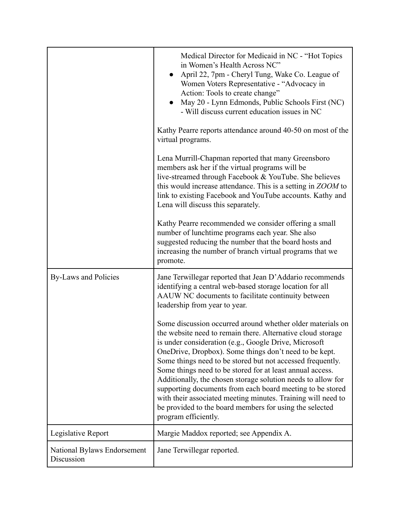|                                           | Medical Director for Medicaid in NC - "Hot Topics"<br>in Women's Health Across NC"<br>April 22, 7pm - Cheryl Tung, Wake Co. League of<br>Women Voters Representative - "Advocacy in<br>Action: Tools to create change"<br>May 20 - Lynn Edmonds, Public Schools First (NC)<br>- Will discuss current education issues in NC<br>Kathy Pearre reports attendance around 40-50 on most of the<br>virtual programs.                                                                                                                                                                                                                                         |
|-------------------------------------------|---------------------------------------------------------------------------------------------------------------------------------------------------------------------------------------------------------------------------------------------------------------------------------------------------------------------------------------------------------------------------------------------------------------------------------------------------------------------------------------------------------------------------------------------------------------------------------------------------------------------------------------------------------|
|                                           | Lena Murrill-Chapman reported that many Greensboro<br>members ask her if the virtual programs will be<br>live-streamed through Facebook & YouTube. She believes<br>this would increase attendance. This is a setting in ZOOM to<br>link to existing Facebook and YouTube accounts. Kathy and<br>Lena will discuss this separately.                                                                                                                                                                                                                                                                                                                      |
|                                           | Kathy Pearre recommended we consider offering a small<br>number of lunchtime programs each year. She also<br>suggested reducing the number that the board hosts and<br>increasing the number of branch virtual programs that we<br>promote.                                                                                                                                                                                                                                                                                                                                                                                                             |
| By-Laws and Policies                      | Jane Terwillegar reported that Jean D'Addario recommends<br>identifying a central web-based storage location for all<br>AAUW NC documents to facilitate continuity between<br>leadership from year to year.                                                                                                                                                                                                                                                                                                                                                                                                                                             |
|                                           | Some discussion occurred around whether older materials on<br>the website need to remain there. Alternative cloud storage<br>is under consideration (e.g., Google Drive, Microsoft<br>OneDrive, Dropbox). Some things don't need to be kept.<br>Some things need to be stored but not accessed frequently.<br>Some things need to be stored for at least annual access.<br>Additionally, the chosen storage solution needs to allow for<br>supporting documents from each board meeting to be stored<br>with their associated meeting minutes. Training will need to<br>be provided to the board members for using the selected<br>program efficiently. |
| Legislative Report                        | Margie Maddox reported; see Appendix A.                                                                                                                                                                                                                                                                                                                                                                                                                                                                                                                                                                                                                 |
| National Bylaws Endorsement<br>Discussion | Jane Terwillegar reported.                                                                                                                                                                                                                                                                                                                                                                                                                                                                                                                                                                                                                              |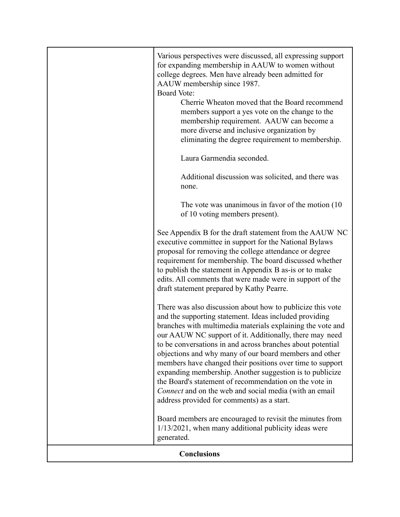|                    | Various perspectives were discussed, all expressing support<br>for expanding membership in AAUW to women without<br>college degrees. Men have already been admitted for<br>AAUW membership since 1987.<br><b>Board Vote:</b><br>Cherrie Wheaton moved that the Board recommend<br>members support a yes vote on the change to the<br>membership requirement. AAUW can become a<br>more diverse and inclusive organization by<br>eliminating the degree requirement to membership.<br>Laura Garmendia seconded.<br>Additional discussion was solicited, and there was<br>none.<br>The vote was unanimous in favor of the motion (10)<br>of 10 voting members present).<br>See Appendix B for the draft statement from the AAUW NC<br>executive committee in support for the National Bylaws<br>proposal for removing the college attendance or degree<br>requirement for membership. The board discussed whether<br>to publish the statement in Appendix B as-is or to make<br>edits. All comments that were made were in support of the<br>draft statement prepared by Kathy Pearre.<br>There was also discussion about how to publicize this vote<br>and the supporting statement. Ideas included providing<br>branches with multimedia materials explaining the vote and<br>our AAUW NC support of it. Additionally, there may need<br>to be conversations in and across branches about potential<br>objections and why many of our board members and other<br>members have changed their positions over time to support<br>expanding membership. Another suggestion is to publicize<br>the Board's statement of recommendation on the vote in<br>Connect and on the web and social media (with an email<br>address provided for comments) as a start. |
|--------------------|----------------------------------------------------------------------------------------------------------------------------------------------------------------------------------------------------------------------------------------------------------------------------------------------------------------------------------------------------------------------------------------------------------------------------------------------------------------------------------------------------------------------------------------------------------------------------------------------------------------------------------------------------------------------------------------------------------------------------------------------------------------------------------------------------------------------------------------------------------------------------------------------------------------------------------------------------------------------------------------------------------------------------------------------------------------------------------------------------------------------------------------------------------------------------------------------------------------------------------------------------------------------------------------------------------------------------------------------------------------------------------------------------------------------------------------------------------------------------------------------------------------------------------------------------------------------------------------------------------------------------------------------------------------------------------------------------------------------------------------------------------|
|                    | Board members are encouraged to revisit the minutes from<br>$1/13/2021$ , when many additional publicity ideas were<br>generated.                                                                                                                                                                                                                                                                                                                                                                                                                                                                                                                                                                                                                                                                                                                                                                                                                                                                                                                                                                                                                                                                                                                                                                                                                                                                                                                                                                                                                                                                                                                                                                                                                        |
| <b>Conclusions</b> |                                                                                                                                                                                                                                                                                                                                                                                                                                                                                                                                                                                                                                                                                                                                                                                                                                                                                                                                                                                                                                                                                                                                                                                                                                                                                                                                                                                                                                                                                                                                                                                                                                                                                                                                                          |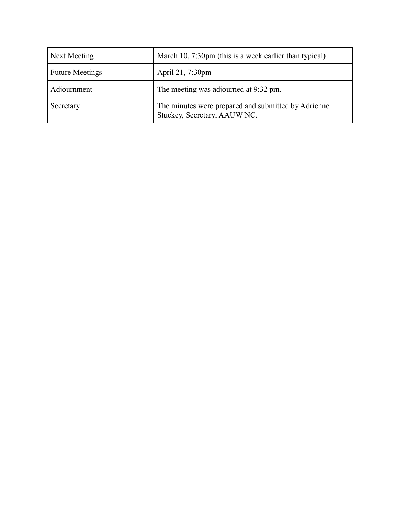| Next Meeting           | March 10, 7:30pm (this is a week earlier than typical)                              |
|------------------------|-------------------------------------------------------------------------------------|
| <b>Future Meetings</b> | April 21, 7:30pm                                                                    |
| Adjournment            | The meeting was adjourned at 9:32 pm.                                               |
| Secretary              | The minutes were prepared and submitted by Adrienne<br>Stuckey, Secretary, AAUW NC. |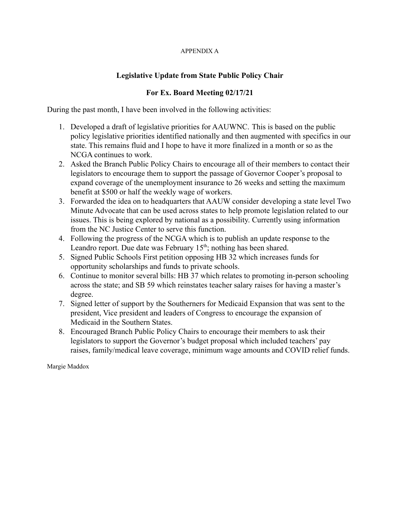#### APPENDIX A

# **Legislative Update from State Public Policy Chair**

## **For Ex. Board Meeting 02/17/21**

During the past month, I have been involved in the following activities:

- 1. Developed a draft of legislative priorities for AAUWNC. This is based on the public policy legislative priorities identified nationally and then augmented with specifics in our state. This remains fluid and I hope to have it more finalized in a month or so as the NCGA continues to work.
- 2. Asked the Branch Public Policy Chairs to encourage all of their members to contact their legislators to encourage them to support the passage of Governor Cooper's proposal to expand coverage of the unemployment insurance to 26 weeks and setting the maximum benefit at \$500 or half the weekly wage of workers.
- 3. Forwarded the idea on to headquarters that AAUW consider developing a state level Two Minute Advocate that can be used across states to help promote legislation related to our issues. This is being explored by national as a possibility. Currently using information from the NC Justice Center to serve this function.
- 4. Following the progress of the NCGA which is to publish an update response to the Leandro report. Due date was February  $15<sup>th</sup>$ ; nothing has been shared.
- 5. Signed Public Schools First petition opposing HB 32 which increases funds for opportunity scholarships and funds to private schools.
- 6. Continue to monitor several bills: HB 37 which relates to promoting in-person schooling across the state; and SB 59 which reinstates teacher salary raises for having a master's degree.
- 7. Signed letter of support by the Southerners for Medicaid Expansion that was sent to the president, Vice president and leaders of Congress to encourage the expansion of Medicaid in the Southern States.
- 8. Encouraged Branch Public Policy Chairs to encourage their members to ask their legislators to support the Governor's budget proposal which included teachers' pay raises, family/medical leave coverage, minimum wage amounts and COVID relief funds.

Margie Maddox